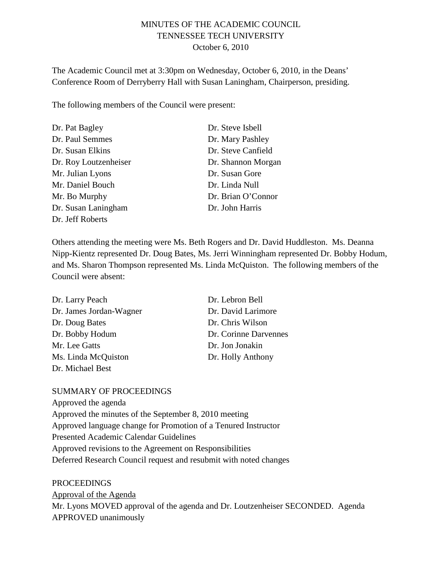# MINUTES OF THE ACADEMIC COUNCIL TENNESSEE TECH UNIVERSITY October 6, 2010

The Academic Council met at 3:30pm on Wednesday, October 6, 2010, in the Deans' Conference Room of Derryberry Hall with Susan Laningham, Chairperson, presiding.

The following members of the Council were present:

| Dr. Pat Bagley        | Dr. Steve Isbell   |
|-----------------------|--------------------|
| Dr. Paul Semmes       | Dr. Mary Pashley   |
| Dr. Susan Elkins      | Dr. Steve Canfield |
| Dr. Roy Loutzenheiser | Dr. Shannon Morgan |
| Mr. Julian Lyons      | Dr. Susan Gore     |
| Mr. Daniel Bouch      | Dr. Linda Null     |
| Mr. Bo Murphy         | Dr. Brian O'Connor |
| Dr. Susan Laningham   | Dr. John Harris    |
| Dr. Jeff Roberts      |                    |

Others attending the meeting were Ms. Beth Rogers and Dr. David Huddleston. Ms. Deanna Nipp-Kientz represented Dr. Doug Bates, Ms. Jerri Winningham represented Dr. Bobby Hodum, and Ms. Sharon Thompson represented Ms. Linda McQuiston. The following members of the Council were absent:

| Dr. Larry Peach         | Dr. Lebron Bell       |
|-------------------------|-----------------------|
| Dr. James Jordan-Wagner | Dr. David Larimore    |
| Dr. Doug Bates          | Dr. Chris Wilson      |
| Dr. Bobby Hodum         | Dr. Corinne Darvennes |
| Mr. Lee Gatts           | Dr. Jon Jonakin       |
| Ms. Linda McQuiston     | Dr. Holly Anthony     |
| Dr. Michael Best        |                       |

#### SUMMARY OF PROCEEDINGS

Approved the agenda Approved the minutes of the September 8, 2010 meeting Approved language change for Promotion of a Tenured Instructor Presented Academic Calendar Guidelines Approved revisions to the Agreement on Responsibilities Deferred Research Council request and resubmit with noted changes

PROCEEDINGS

Mr. Lyons MOVED approval of the agenda and Dr. Loutzenheiser SECONDED. Agenda APPROVED unanimously Approval of the Agenda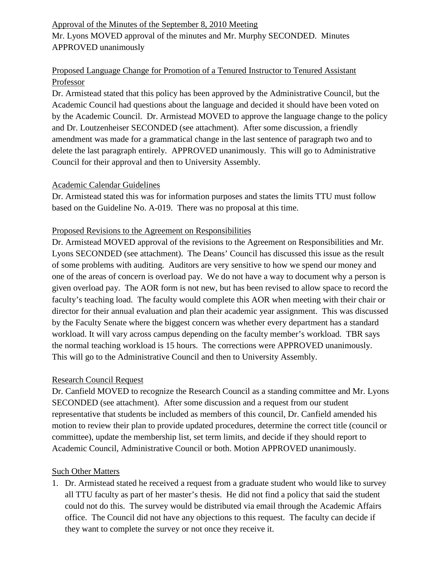# Approval of the Minutes of the September 8, 2010 Meeting

Mr. Lyons MOVED approval of the minutes and Mr. Murphy SECONDED. Minutes APPROVED unanimously

# Proposed Language Change for Promotion of a Tenured Instructor to Tenured Assistant Professor

Dr. Armistead stated that this policy has been approved by the Administrative Council, but the Academic Council had questions about the language and decided it should have been voted on by the Academic Council. Dr. Armistead MOVED to approve the language change to the policy and Dr. Loutzenheiser SECONDED (see attachment). After some discussion, a friendly amendment was made for a grammatical change in the last sentence of paragraph two and to delete the last paragraph entirely. APPROVED unanimously. This will go to Administrative Council for their approval and then to University Assembly.

### Academic Calendar Guidelines

Dr. Armistead stated this was for information purposes and states the limits TTU must follow based on the Guideline No. A-019. There was no proposal at this time.

# Proposed Revisions to the Agreement on Responsibilities

Dr. Armistead MOVED approval of the revisions to the Agreement on Responsibilities and Mr. Lyons SECONDED (see attachment). The Deans' Council has discussed this issue as the result of some problems with auditing. Auditors are very sensitive to how we spend our money and one of the areas of concern is overload pay. We do not have a way to document why a person is given overload pay. The AOR form is not new, but has been revised to allow space to record the faculty's teaching load. The faculty would complete this AOR when meeting with their chair or director for their annual evaluation and plan their academic year assignment. This was discussed by the Faculty Senate where the biggest concern was whether every department has a standard workload. It will vary across campus depending on the faculty member's workload. TBR says the normal teaching workload is 15 hours. The corrections were APPROVED unanimously. This will go to the Administrative Council and then to University Assembly.

# Research Council Request

Dr. Canfield MOVED to recognize the Research Council as a standing committee and Mr. Lyons SECONDED (see attachment). After some discussion and a request from our student representative that students be included as members of this council, Dr. Canfield amended his motion to review their plan to provide updated procedures, determine the correct title (council or committee), update the membership list, set term limits, and decide if they should report to Academic Council, Administrative Council or both. Motion APPROVED unanimously.

# Such Other Matters

1. Dr. Armistead stated he received a request from a graduate student who would like to survey all TTU faculty as part of her master's thesis. He did not find a policy that said the student could not do this. The survey would be distributed via email through the Academic Affairs office. The Council did not have any objections to this request. The faculty can decide if they want to complete the survey or not once they receive it.